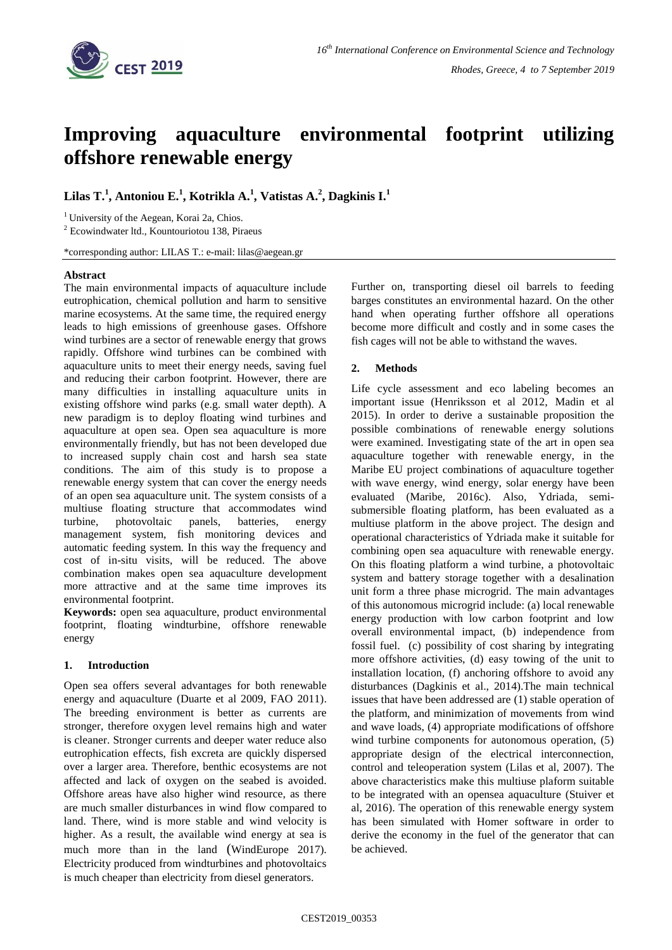

# **Improving aquaculture environmental footprint utilizing offshore renewable energy**

## **Lilas T. 1 , Antoniou E.<sup>1</sup> , Kotrikla A.<sup>1</sup> , Vatistas A.<sup>2</sup> , Dagkinis I.<sup>1</sup>**

<sup>1</sup> University of the Aegean, Korai 2a, Chios.

<sup>2</sup> Ecowindwater ltd., Kountouriotou 138, Piraeus

\*corresponding author: LILAS T.: e-mail: lilas@aegean.gr

## **Abstract**

The main environmental impacts of aquaculture include eutrophication, chemical pollution and harm to sensitive marine ecosystems. At the same time, the required energy leads to high emissions of greenhouse gases. Offshore wind turbines are a sector of renewable energy that grows rapidly. Offshore wind turbines can be combined with aquaculture units to meet their energy needs, saving fuel and reducing their carbon footprint. However, there are many difficulties in installing aquaculture units in existing offshore wind parks (e.g. small water depth). A new paradigm is to deploy floating wind turbines and aquaculture at open sea. Open sea aquaculture is more environmentally friendly, but has not been developed due to increased supply chain cost and harsh sea state conditions. The aim of this study is to propose a renewable energy system that can cover the energy needs of an open sea aquaculture unit. The system consists of a multiuse floating structure that accommodates wind turbine, photovoltaic panels, batteries, energy management system, fish monitoring devices and automatic feeding system. In this way the frequency and cost of in-situ visits, will be reduced. The above combination makes open sea aquaculture development more attractive and at the same time improves its environmental footprint.

**Keywords:** open sea aquaculture, product environmental footprint, floating windturbine, offshore renewable energy

## **1. Introduction**

Open sea offers several advantages for both renewable energy and aquaculture (Duarte et al 2009, FAO 2011). The breeding environment is better as currents are stronger, therefore oxygen level remains high and water is cleaner. Stronger currents and deeper water reduce also eutrophication effects, fish excreta are quickly dispersed over a larger area. Therefore, benthic ecosystems are not affected and lack of oxygen on the seabed is avoided. Offshore areas have also higher wind resource, as there are much smaller disturbances in wind flow compared to land. There, wind is more stable and wind velocity is higher. As a result, the available wind energy at sea is much more than in the land (WindEurope 2017). Electricity produced from windturbines and photovoltaics is much cheaper than electricity from diesel generators.

Further on, transporting diesel oil barrels to feeding barges constitutes an environmental hazard. On the other hand when operating further offshore all operations become more difficult and costly and in some cases the fish cages will not be able to withstand the waves.

## **2. Methods**

Life cycle assessment and eco labeling becomes an important issue (Henriksson et al 2012, Madin et al 2015). In order to derive a sustainable proposition the possible combinations of renewable energy solutions were examined. Investigating state of the art in open sea aquaculture together with renewable energy, in the Maribe EU project combinations of aquaculture together with wave energy, wind energy, solar energy have been evaluated (Maribe, 2016c). Also, Ydriada, semisubmersible floating platform, has been evaluated as a multiuse platform in the above project. The design and operational characteristics of Ydriada make it suitable for combining open sea aquaculture with renewable energy. On this floating platform a wind turbine, a photovoltaic system and battery storage together with a desalination unit form a three phase microgrid. The main advantages of this autonomous microgrid include: (a) local renewable energy production with low carbon footprint and low overall environmental impact, (b) independence from fossil fuel. (c) possibility of cost sharing by integrating more offshore activities, (d) easy towing of the unit to installation location, (f) anchoring offshore to avoid any disturbances (Dagkinis et al., 2014).The main technical issues that have been addressed are (1) stable operation of the platform, and minimization of movements from wind and wave loads, (4) appropriate modifications of offshore wind turbine components for autonomous operation, (5) appropriate design of the electrical interconnection, control and teleoperation system (Lilas et al, 2007). The above characteristics make this multiuse plaform suitable to be integrated with an opensea aquaculture (Stuiver et al, 2016). The operation of this renewable energy system has been simulated with Homer software in order to derive the economy in the fuel of the generator that can be achieved.